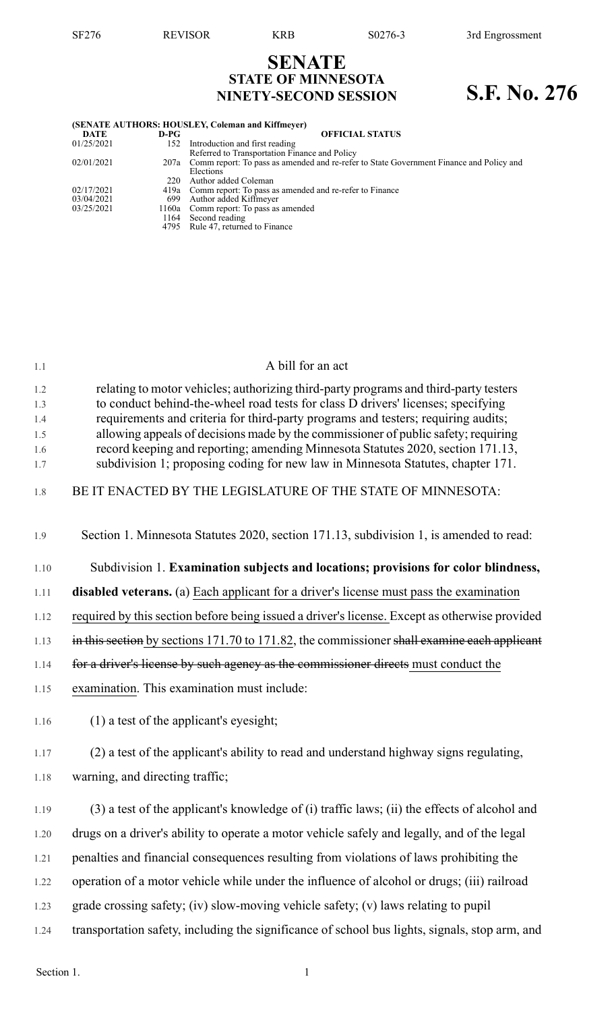## **SENATE STATE OF MINNESOTA NINETY-SECOND SESSION S.F. No. 276**

| (SENATE AUTHORS: HOUSLEY, Coleman and Kiffmeyer) |      |                                                                                              |  |  |  |  |
|--------------------------------------------------|------|----------------------------------------------------------------------------------------------|--|--|--|--|
| <b>DATE</b>                                      | D-PG | <b>OFFICIAL STATUS</b>                                                                       |  |  |  |  |
| 01/25/2021                                       | 152  | Introduction and first reading                                                               |  |  |  |  |
|                                                  |      | Referred to Transportation Finance and Policy                                                |  |  |  |  |
| 02/01/2021                                       |      | 207a Comm report: To pass as amended and re-refer to State Government Finance and Policy and |  |  |  |  |
|                                                  |      | Elections                                                                                    |  |  |  |  |
|                                                  | 220  | Author added Coleman                                                                         |  |  |  |  |
| 02/17/2021                                       |      | 419a Comm report: To pass as amended and re-refer to Finance                                 |  |  |  |  |
| 03/04/2021                                       | 699  | Author added Kiffmeyer                                                                       |  |  |  |  |
| 03/25/2021                                       |      | 1160a Comm report: To pass as amended                                                        |  |  |  |  |
|                                                  | 1164 | Second reading                                                                               |  |  |  |  |
|                                                  | 4795 | Rule 47, returned to Finance                                                                 |  |  |  |  |
|                                                  |      |                                                                                              |  |  |  |  |

| 1.1        | A bill for an act                                                                                                                                                        |
|------------|--------------------------------------------------------------------------------------------------------------------------------------------------------------------------|
| 1.2<br>1.3 | relating to motor vehicles; authorizing third-party programs and third-party testers<br>to conduct behind-the-wheel road tests for class D drivers' licenses; specifying |
| 1.4<br>1.5 | requirements and criteria for third-party programs and testers; requiring audits;<br>allowing appeals of decisions made by the commissioner of public safety; requiring  |
| 1.6        | record keeping and reporting; amending Minnesota Statutes 2020, section 171.13,                                                                                          |
| 1.7        | subdivision 1; proposing coding for new law in Minnesota Statutes, chapter 171.                                                                                          |
| 1.8        | BE IT ENACTED BY THE LEGISLATURE OF THE STATE OF MINNESOTA:                                                                                                              |
| 1.9        | Section 1. Minnesota Statutes 2020, section 171.13, subdivision 1, is amended to read:                                                                                   |
| 1.10       | Subdivision 1. Examination subjects and locations; provisions for color blindness,                                                                                       |
| 1.11       | <b>disabled veterans.</b> (a) Each applicant for a driver's license must pass the examination                                                                            |
| 1.12       | required by this section before being issued a driver's license. Except as otherwise provided                                                                            |
| 1.13       | in this section by sections 171.70 to 171.82, the commissioner shall examine each applicant                                                                              |
| 1.14       | for a driver's license by such agency as the commissioner directs must conduct the                                                                                       |
| 1.15       | examination. This examination must include:                                                                                                                              |
| 1.16       | $(1)$ a test of the applicant's eyesight;                                                                                                                                |
| 1.17       | (2) a test of the applicant's ability to read and understand highway signs regulating,                                                                                   |
| 1.18       | warning, and directing traffic;                                                                                                                                          |
| 1.19       | (3) a test of the applicant's knowledge of (i) traffic laws; (ii) the effects of alcohol and                                                                             |
| 1.20       | drugs on a driver's ability to operate a motor vehicle safely and legally, and of the legal                                                                              |
| 1.21       | penalties and financial consequences resulting from violations of laws prohibiting the                                                                                   |
| 1.22       | operation of a motor vehicle while under the influence of alcohol or drugs; (iii) railroad                                                                               |
| 1.23       | grade crossing safety; (iv) slow-moving vehicle safety; (v) laws relating to pupil                                                                                       |
| 1.24       | transportation safety, including the significance of school bus lights, signals, stop arm, and                                                                           |
|            |                                                                                                                                                                          |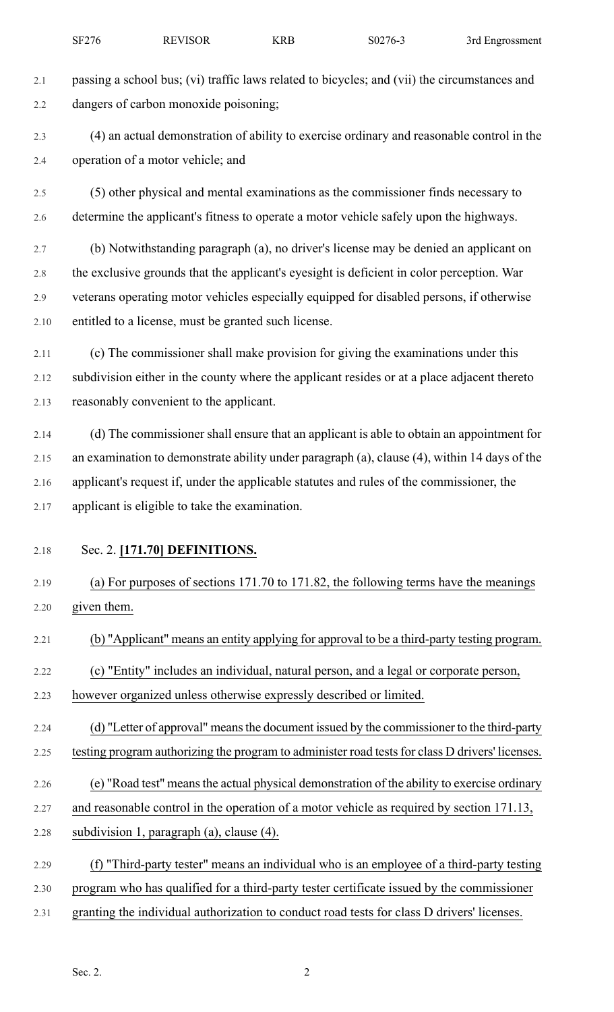- 2.1 passing a school bus; (vi) traffic laws related to bicycles; and (vii) the circumstances and 2.2 dangers of carbon monoxide poisoning; 2.3 (4) an actual demonstration of ability to exercise ordinary and reasonable control in the 2.4 operation of a motor vehicle; and 2.5 (5) other physical and mental examinations as the commissioner finds necessary to 2.6 determine the applicant's fitness to operate a motor vehicle safely upon the highways. 2.7 (b) Notwithstanding paragraph (a), no driver's license may be denied an applicant on 2.8 the exclusive grounds that the applicant's eyesight is deficient in color perception. War 2.9 veterans operating motor vehicles especially equipped for disabled persons, if otherwise 2.10 entitled to a license, must be granted such license. 2.11 (c) The commissioner shall make provision for giving the examinations under this 2.12 subdivision either in the county where the applicant resides or at a place adjacent thereto 2.13 reasonably convenient to the applicant. 2.14 (d) The commissioner shall ensure that an applicant is able to obtain an appointment for 2.15 an examination to demonstrate ability under paragraph (a), clause (4), within 14 days of the 2.16 applicant's request if, under the applicable statutes and rules of the commissioner, the 2.17 applicant is eligible to take the examination. 2.18 Sec. 2. **[171.70] DEFINITIONS.** 2.19 (a) For purposes of sections 171.70 to 171.82, the following terms have the meanings 2.20 given them. 2.21 (b) "Applicant" means an entity applying for approval to be a third-party testing program. 2.22 (c) "Entity" includes an individual, natural person, and a legal or corporate person, 2.23 however organized unless otherwise expressly described or limited. 2.24 (d) "Letter of approval" means the document issued by the commissioner to the third-party 2.25 testing program authorizing the program to administer road tests for class D drivers' licenses. 2.26 (e) "Road test" meansthe actual physical demonstration of the ability to exercise ordinary 2.27 and reasonable control in the operation of a motor vehicle as required by section 171.13, 2.28 subdivision 1, paragraph (a), clause (4). 2.29 (f) "Third-party tester" means an individual who is an employee of a third-party testing 2.30 program who has qualified for a third-party tester certificate issued by the commissioner
- 2.31 granting the individual authorization to conduct road tests for class D drivers' licenses.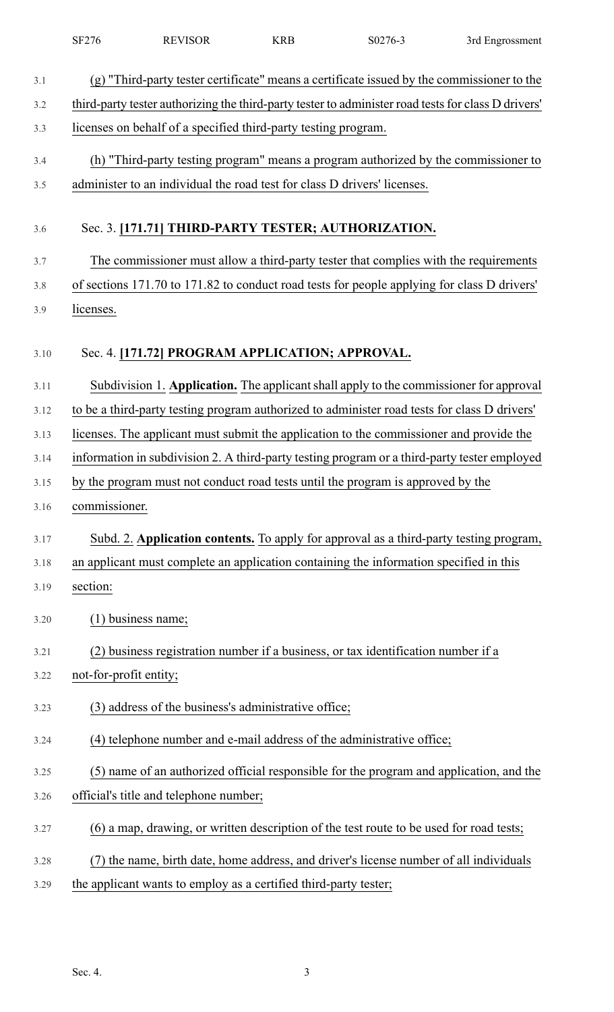|      | SF276                  | <b>REVISOR</b>                                                           | <b>KRB</b> | S0276-3                                                                                             | 3rd Engrossment |
|------|------------------------|--------------------------------------------------------------------------|------------|-----------------------------------------------------------------------------------------------------|-----------------|
| 3.1  |                        |                                                                          |            | (g) "Third-party tester certificate" means a certificate issued by the commissioner to the          |                 |
| 3.2  |                        |                                                                          |            | third-party tester authorizing the third-party tester to administer road tests for class D drivers' |                 |
| 3.3  |                        | licenses on behalf of a specified third-party testing program.           |            |                                                                                                     |                 |
| 3.4  |                        |                                                                          |            | (h) "Third-party testing program" means a program authorized by the commissioner to                 |                 |
| 3.5  |                        | administer to an individual the road test for class D drivers' licenses. |            |                                                                                                     |                 |
| 3.6  |                        |                                                                          |            | Sec. 3. [171.71] THIRD-PARTY TESTER; AUTHORIZATION.                                                 |                 |
| 3.7  |                        |                                                                          |            | The commissioner must allow a third-party tester that complies with the requirements                |                 |
| 3.8  |                        |                                                                          |            | of sections 171.70 to 171.82 to conduct road tests for people applying for class D drivers'         |                 |
| 3.9  | licenses.              |                                                                          |            |                                                                                                     |                 |
| 3.10 |                        | Sec. 4. [171.72] PROGRAM APPLICATION; APPROVAL.                          |            |                                                                                                     |                 |
| 3.11 |                        |                                                                          |            | Subdivision 1. Application. The applicant shall apply to the commissioner for approval              |                 |
| 3.12 |                        |                                                                          |            | to be a third-party testing program authorized to administer road tests for class D drivers'        |                 |
| 3.13 |                        |                                                                          |            | licenses. The applicant must submit the application to the commissioner and provide the             |                 |
| 3.14 |                        |                                                                          |            | information in subdivision 2. A third-party testing program or a third-party tester employed        |                 |
| 3.15 |                        |                                                                          |            | by the program must not conduct road tests until the program is approved by the                     |                 |
| 3.16 | commissioner.          |                                                                          |            |                                                                                                     |                 |
| 3.17 |                        |                                                                          |            | Subd. 2. Application contents. To apply for approval as a third-party testing program,              |                 |
| 3.18 |                        |                                                                          |            | an applicant must complete an application containing the information specified in this              |                 |
| 3.19 | section:               |                                                                          |            |                                                                                                     |                 |
| 3.20 |                        | $(1)$ business name;                                                     |            |                                                                                                     |                 |
| 3.21 |                        |                                                                          |            | (2) business registration number if a business, or tax identification number if a                   |                 |
| 3.22 | not-for-profit entity; |                                                                          |            |                                                                                                     |                 |
| 3.23 |                        | (3) address of the business's administrative office;                     |            |                                                                                                     |                 |
| 3.24 |                        |                                                                          |            | (4) telephone number and e-mail address of the administrative office;                               |                 |
| 3.25 |                        |                                                                          |            | (5) name of an authorized official responsible for the program and application, and the             |                 |
| 3.26 |                        | official's title and telephone number;                                   |            |                                                                                                     |                 |
| 3.27 |                        |                                                                          |            | (6) a map, drawing, or written description of the test route to be used for road tests;             |                 |
| 3.28 |                        |                                                                          |            | the name, birth date, home address, and driver's license number of all individuals                  |                 |
| 3.29 |                        | the applicant wants to employ as a certified third-party tester;         |            |                                                                                                     |                 |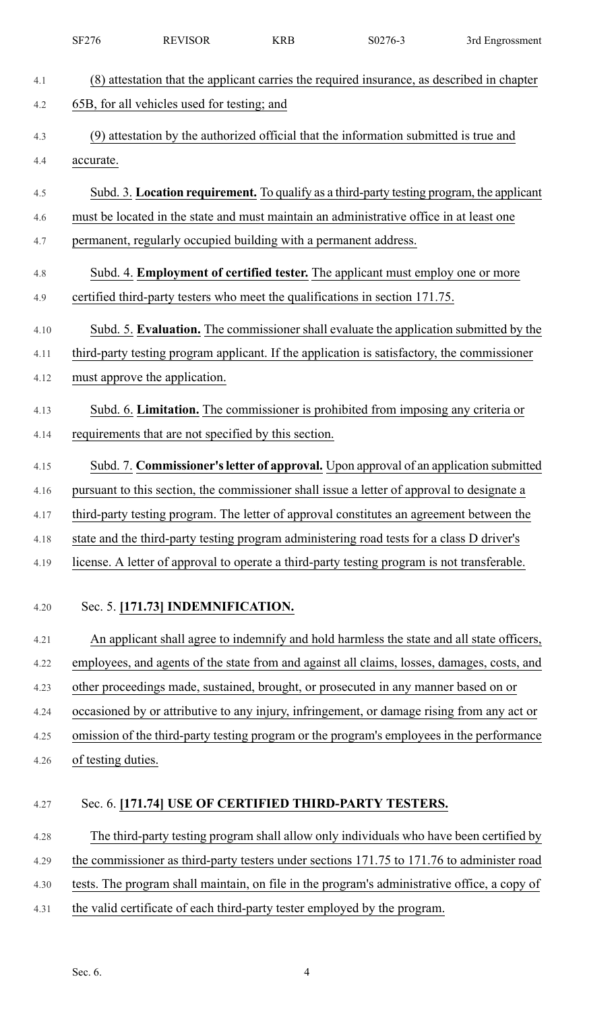|      | SF276              | <b>REVISOR</b>                                                                              | <b>KRB</b> | S0276-3 | 3rd Engrossment                                                                              |
|------|--------------------|---------------------------------------------------------------------------------------------|------------|---------|----------------------------------------------------------------------------------------------|
| 4.1  |                    | (8) attestation that the applicant carries the required insurance, as described in chapter  |            |         |                                                                                              |
| 4.2  |                    | 65B, for all vehicles used for testing; and                                                 |            |         |                                                                                              |
| 4.3  |                    | (9) attestation by the authorized official that the information submitted is true and       |            |         |                                                                                              |
| 4.4  | accurate.          |                                                                                             |            |         |                                                                                              |
| 4.5  |                    |                                                                                             |            |         | Subd. 3. Location requirement. To qualify as a third-party testing program, the applicant    |
| 4.6  |                    | must be located in the state and must maintain an administrative office in at least one     |            |         |                                                                                              |
| 4.7  |                    | permanent, regularly occupied building with a permanent address.                            |            |         |                                                                                              |
| 4.8  |                    | Subd. 4. <b>Employment of certified tester.</b> The applicant must employ one or more       |            |         |                                                                                              |
| 4.9  |                    | certified third-party testers who meet the qualifications in section 171.75.                |            |         |                                                                                              |
|      |                    |                                                                                             |            |         |                                                                                              |
| 4.10 |                    |                                                                                             |            |         | Subd. 5. Evaluation. The commissioner shall evaluate the application submitted by the        |
| 4.11 |                    | third-party testing program applicant. If the application is satisfactory, the commissioner |            |         |                                                                                              |
| 4.12 |                    | must approve the application.                                                               |            |         |                                                                                              |
| 4.13 |                    | Subd. 6. Limitation. The commissioner is prohibited from imposing any criteria or           |            |         |                                                                                              |
| 4.14 |                    | requirements that are not specified by this section.                                        |            |         |                                                                                              |
| 4.15 |                    |                                                                                             |            |         | Subd. 7. Commissioner's letter of approval. Upon approval of an application submitted        |
| 4.16 |                    | pursuant to this section, the commissioner shall issue a letter of approval to designate a  |            |         |                                                                                              |
| 4.17 |                    | third-party testing program. The letter of approval constitutes an agreement between the    |            |         |                                                                                              |
| 4.18 |                    | state and the third-party testing program administering road tests for a class D driver's   |            |         |                                                                                              |
| 4.19 |                    | license. A letter of approval to operate a third-party testing program is not transferable. |            |         |                                                                                              |
|      |                    |                                                                                             |            |         |                                                                                              |
| 4.20 |                    | Sec. 5. [171.73] INDEMNIFICATION.                                                           |            |         |                                                                                              |
| 4.21 |                    |                                                                                             |            |         | An applicant shall agree to indemnify and hold harmless the state and all state officers,    |
| 4.22 |                    |                                                                                             |            |         | employees, and agents of the state from and against all claims, losses, damages, costs, and  |
| 4.23 |                    | other proceedings made, sustained, brought, or prosecuted in any manner based on or         |            |         |                                                                                              |
| 4.24 |                    | occasioned by or attributive to any injury, infringement, or damage rising from any act or  |            |         |                                                                                              |
| 4.25 |                    |                                                                                             |            |         | omission of the third-party testing program or the program's employees in the performance    |
| 4.26 | of testing duties. |                                                                                             |            |         |                                                                                              |
| 4.27 |                    | Sec. 6. [171.74] USE OF CERTIFIED THIRD-PARTY TESTERS.                                      |            |         |                                                                                              |
|      |                    |                                                                                             |            |         |                                                                                              |
| 4.28 |                    |                                                                                             |            |         | The third-party testing program shall allow only individuals who have been certified by      |
| 4.29 |                    |                                                                                             |            |         | the commissioner as third-party testers under sections 171.75 to 171.76 to administer road   |
| 4.30 |                    |                                                                                             |            |         | tests. The program shall maintain, on file in the program's administrative office, a copy of |
| 4.31 |                    | the valid certificate of each third-party tester employed by the program.                   |            |         |                                                                                              |
|      |                    |                                                                                             |            |         |                                                                                              |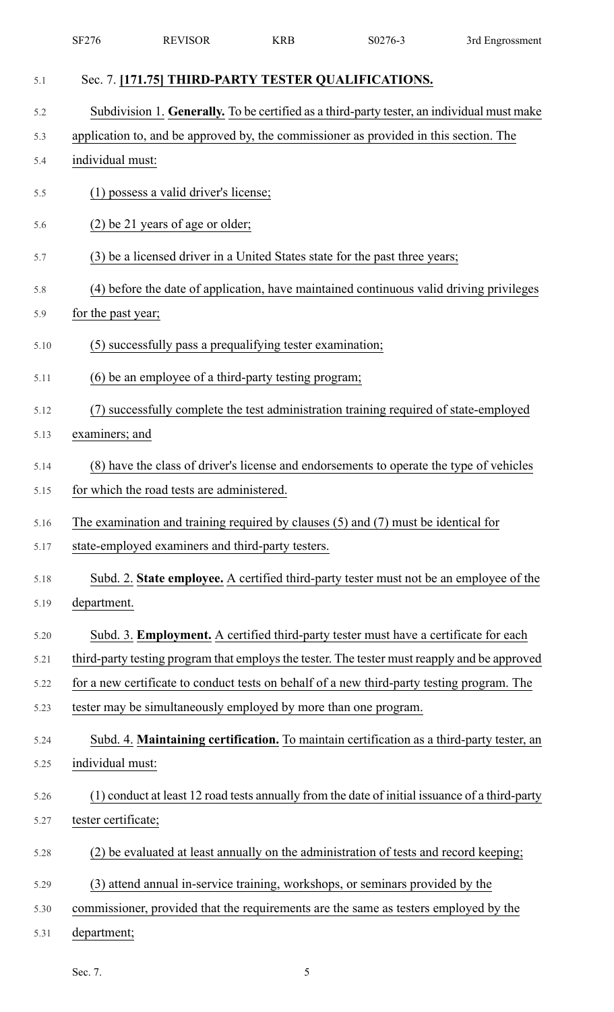|      | SF276               | <b>REVISOR</b>                                                  | <b>KRB</b> | S0276-3                                                                                        | 3rd Engrossment |
|------|---------------------|-----------------------------------------------------------------|------------|------------------------------------------------------------------------------------------------|-----------------|
| 5.1  |                     | Sec. 7. [171.75] THIRD-PARTY TESTER QUALIFICATIONS.             |            |                                                                                                |                 |
| 5.2  |                     |                                                                 |            | Subdivision 1. Generally. To be certified as a third-party tester, an individual must make     |                 |
| 5.3  |                     |                                                                 |            | application to, and be approved by, the commissioner as provided in this section. The          |                 |
| 5.4  | individual must:    |                                                                 |            |                                                                                                |                 |
| 5.5  |                     | (1) possess a valid driver's license;                           |            |                                                                                                |                 |
| 5.6  |                     | (2) be 21 years of age or older;                                |            |                                                                                                |                 |
| 5.7  |                     |                                                                 |            | (3) be a licensed driver in a United States state for the past three years;                    |                 |
| 5.8  |                     |                                                                 |            | (4) before the date of application, have maintained continuous valid driving privileges        |                 |
| 5.9  | for the past year;  |                                                                 |            |                                                                                                |                 |
| 5.10 |                     | (5) successfully pass a prequalifying tester examination;       |            |                                                                                                |                 |
| 5.11 |                     | (6) be an employee of a third-party testing program;            |            |                                                                                                |                 |
| 5.12 | (7)                 |                                                                 |            | successfully complete the test administration training required of state-employed              |                 |
| 5.13 | examiners; and      |                                                                 |            |                                                                                                |                 |
| 5.14 |                     |                                                                 |            | (8) have the class of driver's license and endorsements to operate the type of vehicles        |                 |
| 5.15 |                     | for which the road tests are administered.                      |            |                                                                                                |                 |
| 5.16 |                     |                                                                 |            | The examination and training required by clauses $(5)$ and $(7)$ must be identical for         |                 |
| 5.17 |                     | state-employed examiners and third-party testers.               |            |                                                                                                |                 |
| 5.18 |                     |                                                                 |            | Subd. 2. State employee. A certified third-party tester must not be an employee of the         |                 |
| 5.19 | department.         |                                                                 |            |                                                                                                |                 |
| 5.20 |                     |                                                                 |            | Subd. 3. Employment. A certified third-party tester must have a certificate for each           |                 |
| 5.21 |                     |                                                                 |            | third-party testing program that employs the tester. The tester must reapply and be approved   |                 |
| 5.22 |                     |                                                                 |            | for a new certificate to conduct tests on behalf of a new third-party testing program. The     |                 |
| 5.23 |                     | tester may be simultaneously employed by more than one program. |            |                                                                                                |                 |
| 5.24 |                     |                                                                 |            | Subd. 4. Maintaining certification. To maintain certification as a third-party tester, an      |                 |
| 5.25 | individual must:    |                                                                 |            |                                                                                                |                 |
| 5.26 |                     |                                                                 |            | (1) conduct at least 12 road tests annually from the date of initial issuance of a third-party |                 |
| 5.27 | tester certificate; |                                                                 |            |                                                                                                |                 |
| 5.28 |                     |                                                                 |            | (2) be evaluated at least annually on the administration of tests and record keeping;          |                 |
| 5.29 |                     |                                                                 |            | (3) attend annual in-service training, workshops, or seminars provided by the                  |                 |
| 5.30 |                     |                                                                 |            | commissioner, provided that the requirements are the same as testers employed by the           |                 |
| 5.31 | department;         |                                                                 |            |                                                                                                |                 |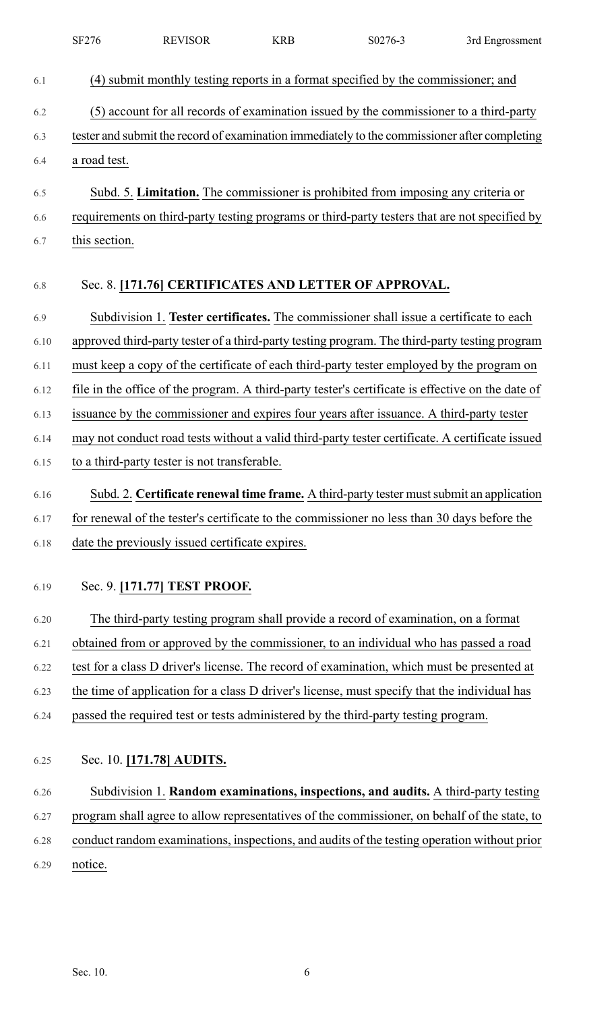|      | SF276         | <b>REVISOR</b>                                  | <b>KRB</b> | S0276-3                                                                                           | 3rd Engrossment |
|------|---------------|-------------------------------------------------|------------|---------------------------------------------------------------------------------------------------|-----------------|
| 6.1  |               |                                                 |            | (4) submit monthly testing reports in a format specified by the commissioner; and                 |                 |
| 6.2  |               |                                                 |            | (5) account for all records of examination issued by the commissioner to a third-party            |                 |
| 6.3  |               |                                                 |            | tester and submit the record of examination immediately to the commissioner after completing      |                 |
| 6.4  | a road test.  |                                                 |            |                                                                                                   |                 |
| 6.5  |               |                                                 |            | Subd. 5. Limitation. The commissioner is prohibited from imposing any criteria or                 |                 |
| 6.6  |               |                                                 |            | requirements on third-party testing programs or third-party testers that are not specified by     |                 |
| 6.7  | this section. |                                                 |            |                                                                                                   |                 |
| 6.8  |               |                                                 |            | Sec. 8. [171.76] CERTIFICATES AND LETTER OF APPROVAL.                                             |                 |
| 6.9  |               |                                                 |            | Subdivision 1. Tester certificates. The commissioner shall issue a certificate to each            |                 |
| 6.10 |               |                                                 |            | approved third-party tester of a third-party testing program. The third-party testing program     |                 |
| 6.11 |               |                                                 |            | must keep a copy of the certificate of each third-party tester employed by the program on         |                 |
| 6.12 |               |                                                 |            | file in the office of the program. A third-party tester's certificate is effective on the date of |                 |
| 6.13 |               |                                                 |            | issuance by the commissioner and expires four years after issuance. A third-party tester          |                 |
| 6.14 |               |                                                 |            | may not conduct road tests without a valid third-party tester certificate. A certificate issued   |                 |
| 6.15 |               | to a third-party tester is not transferable.    |            |                                                                                                   |                 |
| 6.16 |               |                                                 |            | Subd. 2. Certificate renewal time frame. A third-party tester must submit an application          |                 |
| 6.17 |               |                                                 |            | for renewal of the tester's certificate to the commissioner no less than 30 days before the       |                 |
| 6.18 |               | date the previously issued certificate expires. |            |                                                                                                   |                 |
| 6.19 |               | Sec. 9. [171.77] TEST PROOF.                    |            |                                                                                                   |                 |
| 6.20 |               |                                                 |            | The third-party testing program shall provide a record of examination, on a format                |                 |
| 6.21 |               |                                                 |            | obtained from or approved by the commissioner, to an individual who has passed a road             |                 |
| 6.22 |               |                                                 |            | test for a class D driver's license. The record of examination, which must be presented at        |                 |
| 6.23 |               |                                                 |            | the time of application for a class D driver's license, must specify that the individual has      |                 |
| 6.24 |               |                                                 |            | passed the required test or tests administered by the third-party testing program.                |                 |
| 6.25 |               | Sec. 10. [171.78] AUDITS.                       |            |                                                                                                   |                 |
| 6.26 |               |                                                 |            | Subdivision 1. Random examinations, inspections, and audits. A third-party testing                |                 |
| 6.27 |               |                                                 |            | program shall agree to allow representatives of the commissioner, on behalf of the state, to      |                 |
| 6.28 |               |                                                 |            | conduct random examinations, inspections, and audits of the testing operation without prior       |                 |
| 6.29 | notice.       |                                                 |            |                                                                                                   |                 |
|      |               |                                                 |            |                                                                                                   |                 |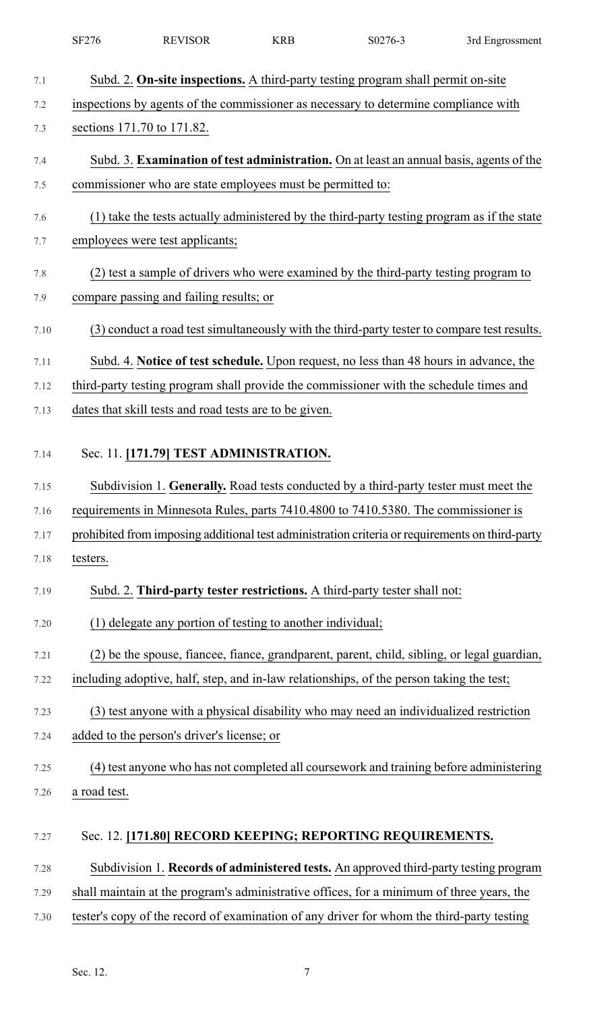|      | SF276                                                                                          | <b>REVISOR</b>                                             | <b>KRB</b> | S0276-3                                                                                         | 3rd Engrossment |  |  |  |  |
|------|------------------------------------------------------------------------------------------------|------------------------------------------------------------|------------|-------------------------------------------------------------------------------------------------|-----------------|--|--|--|--|
| 7.1  |                                                                                                |                                                            |            | Subd. 2. On-site inspections. A third-party testing program shall permit on-site                |                 |  |  |  |  |
| 7.2  |                                                                                                |                                                            |            | inspections by agents of the commissioner as necessary to determine compliance with             |                 |  |  |  |  |
| 7.3  | sections 171.70 to 171.82.                                                                     |                                                            |            |                                                                                                 |                 |  |  |  |  |
| 7.4  | Subd. 3. <b>Examination of test administration.</b> On at least an annual basis, agents of the |                                                            |            |                                                                                                 |                 |  |  |  |  |
| 7.5  |                                                                                                | commissioner who are state employees must be permitted to: |            |                                                                                                 |                 |  |  |  |  |
| 7.6  |                                                                                                |                                                            |            | (1) take the tests actually administered by the third-party testing program as if the state     |                 |  |  |  |  |
| 7.7  |                                                                                                | employees were test applicants;                            |            |                                                                                                 |                 |  |  |  |  |
| 7.8  |                                                                                                |                                                            |            | (2) test a sample of drivers who were examined by the third-party testing program to            |                 |  |  |  |  |
| 7.9  |                                                                                                | compare passing and failing results; or                    |            |                                                                                                 |                 |  |  |  |  |
| 7.10 |                                                                                                |                                                            |            | (3) conduct a road test simultaneously with the third-party tester to compare test results.     |                 |  |  |  |  |
| 7.11 |                                                                                                |                                                            |            | Subd. 4. Notice of test schedule. Upon request, no less than 48 hours in advance, the           |                 |  |  |  |  |
| 7.12 |                                                                                                |                                                            |            | third-party testing program shall provide the commissioner with the schedule times and          |                 |  |  |  |  |
| 7.13 |                                                                                                | dates that skill tests and road tests are to be given.     |            |                                                                                                 |                 |  |  |  |  |
| 7.14 |                                                                                                | Sec. 11. [171.79] TEST ADMINISTRATION.                     |            |                                                                                                 |                 |  |  |  |  |
| 7.15 |                                                                                                |                                                            |            | Subdivision 1. Generally. Road tests conducted by a third-party tester must meet the            |                 |  |  |  |  |
| 7.16 |                                                                                                |                                                            |            | requirements in Minnesota Rules, parts 7410.4800 to 7410.5380. The commissioner is              |                 |  |  |  |  |
| 7.17 |                                                                                                |                                                            |            | prohibited from imposing additional test administration criteria or requirements on third-party |                 |  |  |  |  |
| 7.18 | testers.                                                                                       |                                                            |            |                                                                                                 |                 |  |  |  |  |
| 7.19 |                                                                                                |                                                            |            | Subd. 2. Third-party tester restrictions. A third-party tester shall not:                       |                 |  |  |  |  |
| 7.20 |                                                                                                | (1) delegate any portion of testing to another individual; |            |                                                                                                 |                 |  |  |  |  |
| 7.21 |                                                                                                |                                                            |            | (2) be the spouse, fiancee, fiance, grandparent, parent, child, sibling, or legal guardian,     |                 |  |  |  |  |
| 7.22 |                                                                                                |                                                            |            | including adoptive, half, step, and in-law relationships, of the person taking the test;        |                 |  |  |  |  |
| 7.23 |                                                                                                |                                                            |            | (3) test anyone with a physical disability who may need an individualized restriction           |                 |  |  |  |  |
| 7.24 |                                                                                                | added to the person's driver's license; or                 |            |                                                                                                 |                 |  |  |  |  |
| 7.25 |                                                                                                |                                                            |            | (4) test anyone who has not completed all coursework and training before administering          |                 |  |  |  |  |
| 7.26 | a road test.                                                                                   |                                                            |            |                                                                                                 |                 |  |  |  |  |
| 7.27 |                                                                                                |                                                            |            | Sec. 12. [171.80] RECORD KEEPING; REPORTING REQUIREMENTS.                                       |                 |  |  |  |  |
| 7.28 |                                                                                                |                                                            |            | Subdivision 1. Records of administered tests. An approved third-party testing program           |                 |  |  |  |  |
| 7.29 |                                                                                                |                                                            |            | shall maintain at the program's administrative offices, for a minimum of three years, the       |                 |  |  |  |  |
| 7.30 |                                                                                                |                                                            |            | tester's copy of the record of examination of any driver for whom the third-party testing       |                 |  |  |  |  |
|      |                                                                                                |                                                            |            |                                                                                                 |                 |  |  |  |  |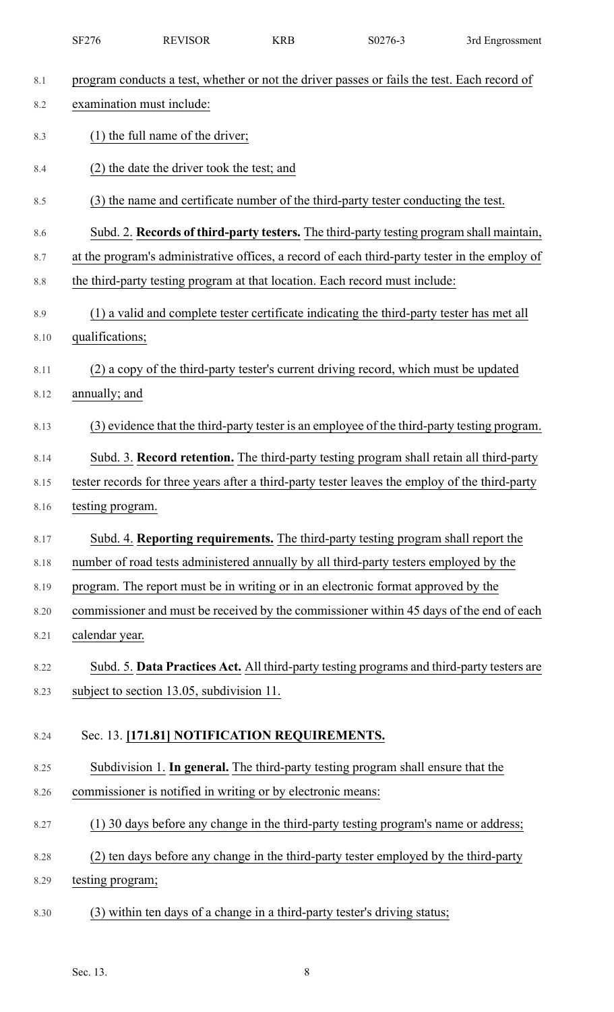|            | SF276                     | <b>REVISOR</b>                                              | <b>KRB</b> | S0276-3                                                                                                                                                                                   | 3rd Engrossment |
|------------|---------------------------|-------------------------------------------------------------|------------|-------------------------------------------------------------------------------------------------------------------------------------------------------------------------------------------|-----------------|
| 8.1        |                           |                                                             |            | program conducts a test, whether or not the driver passes or fails the test. Each record of                                                                                               |                 |
| 8.2        | examination must include: |                                                             |            |                                                                                                                                                                                           |                 |
| 8.3        |                           | $(1)$ the full name of the driver;                          |            |                                                                                                                                                                                           |                 |
| 8.4        |                           | (2) the date the driver took the test; and                  |            |                                                                                                                                                                                           |                 |
|            |                           |                                                             |            | (3) the name and certificate number of the third-party tester conducting the test.                                                                                                        |                 |
| 8.5        |                           |                                                             |            |                                                                                                                                                                                           |                 |
| 8.6<br>8.7 |                           |                                                             |            | Subd. 2. Records of third-party testers. The third-party testing program shall maintain,<br>at the program's administrative offices, a record of each third-party tester in the employ of |                 |
| 8.8        |                           |                                                             |            | the third-party testing program at that location. Each record must include:                                                                                                               |                 |
| 8.9        |                           |                                                             |            | (1) a valid and complete tester certificate indicating the third-party tester has met all                                                                                                 |                 |
| 8.10       | qualifications;           |                                                             |            |                                                                                                                                                                                           |                 |
| 8.11       |                           |                                                             |            | (2) a copy of the third-party tester's current driving record, which must be updated                                                                                                      |                 |
| 8.12       | annually; and             |                                                             |            |                                                                                                                                                                                           |                 |
| 8.13       |                           |                                                             |            | (3) evidence that the third-party tester is an employee of the third-party testing program.                                                                                               |                 |
| 8.14       |                           |                                                             |            | Subd. 3. Record retention. The third-party testing program shall retain all third-party                                                                                                   |                 |
| 8.15       |                           |                                                             |            | tester records for three years after a third-party tester leaves the employ of the third-party                                                                                            |                 |
| 8.16       | testing program.          |                                                             |            |                                                                                                                                                                                           |                 |
| 8.17       |                           |                                                             |            | Subd. 4. Reporting requirements. The third-party testing program shall report the                                                                                                         |                 |
| 8.18       |                           |                                                             |            | number of road tests administered annually by all third-party testers employed by the                                                                                                     |                 |
| 8.19       |                           |                                                             |            | program. The report must be in writing or in an electronic format approved by the                                                                                                         |                 |
| 8.20       |                           |                                                             |            | commissioner and must be received by the commissioner within 45 days of the end of each                                                                                                   |                 |
| 8.21       | calendar year.            |                                                             |            |                                                                                                                                                                                           |                 |
| 8.22       |                           |                                                             |            | Subd. 5. Data Practices Act. All third-party testing programs and third-party testers are                                                                                                 |                 |
| 8.23       |                           | subject to section 13.05, subdivision 11.                   |            |                                                                                                                                                                                           |                 |
| 8.24       |                           | Sec. 13. [171.81] NOTIFICATION REQUIREMENTS.                |            |                                                                                                                                                                                           |                 |
| 8.25       |                           |                                                             |            | Subdivision 1. In general. The third-party testing program shall ensure that the                                                                                                          |                 |
| 8.26       |                           | commissioner is notified in writing or by electronic means: |            |                                                                                                                                                                                           |                 |
| 8.27       |                           |                                                             |            | (1) 30 days before any change in the third-party testing program's name or address;                                                                                                       |                 |
| 8.28       |                           |                                                             |            | (2) ten days before any change in the third-party tester employed by the third-party                                                                                                      |                 |
| 8.29       | testing program;          |                                                             |            |                                                                                                                                                                                           |                 |
| 8.30       |                           |                                                             |            | (3) within ten days of a change in a third-party tester's driving status;                                                                                                                 |                 |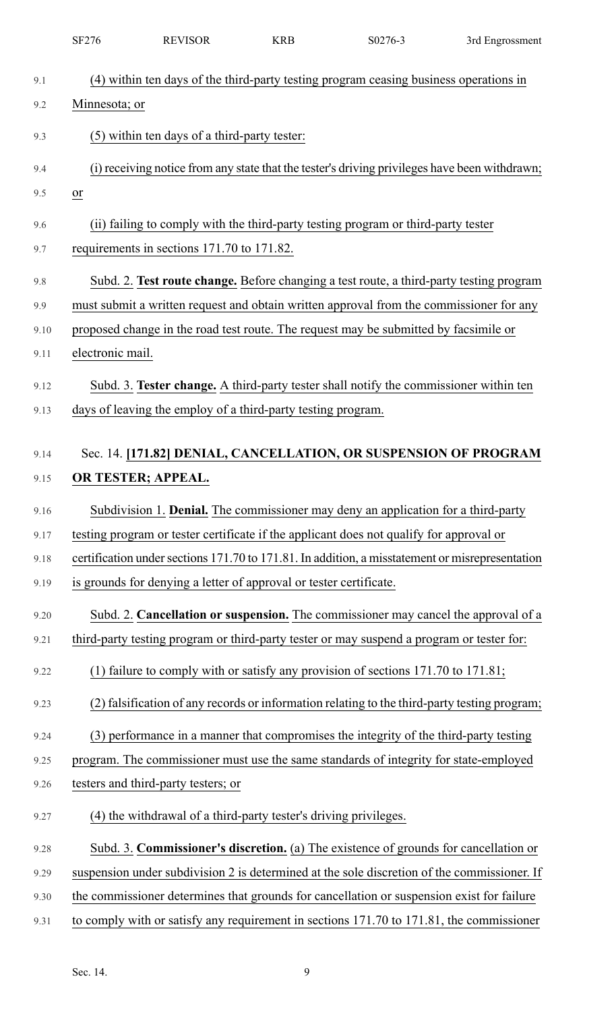|      | <b>SF276</b>            | <b>REVISOR</b>                                                     | <b>KRB</b> | S0276-3                                                                                         | 3rd Engrossment |
|------|-------------------------|--------------------------------------------------------------------|------------|-------------------------------------------------------------------------------------------------|-----------------|
| 9.1  |                         |                                                                    |            | (4) within ten days of the third-party testing program ceasing business operations in           |                 |
| 9.2  | Minnesota; or           |                                                                    |            |                                                                                                 |                 |
| 9.3  |                         | (5) within ten days of a third-party tester:                       |            |                                                                                                 |                 |
|      |                         |                                                                    |            |                                                                                                 |                 |
| 9.4  |                         |                                                                    |            | (i) receiving notice from any state that the tester's driving privileges have been withdrawn;   |                 |
| 9.5  | $\underline{\text{or}}$ |                                                                    |            |                                                                                                 |                 |
| 9.6  |                         |                                                                    |            | (ii) failing to comply with the third-party testing program or third-party tester               |                 |
| 9.7  |                         | requirements in sections 171.70 to 171.82.                         |            |                                                                                                 |                 |
| 9.8  |                         |                                                                    |            | Subd. 2. Test route change. Before changing a test route, a third-party testing program         |                 |
| 9.9  |                         |                                                                    |            | must submit a written request and obtain written approval from the commissioner for any         |                 |
| 9.10 |                         |                                                                    |            | proposed change in the road test route. The request may be submitted by facsimile or            |                 |
| 9.11 | electronic mail.        |                                                                    |            |                                                                                                 |                 |
| 9.12 |                         |                                                                    |            | Subd. 3. Tester change. A third-party tester shall notify the commissioner within ten           |                 |
| 9.13 |                         | days of leaving the employ of a third-party testing program.       |            |                                                                                                 |                 |
|      |                         |                                                                    |            |                                                                                                 |                 |
| 9.14 |                         |                                                                    |            | Sec. 14. [171.82] DENIAL, CANCELLATION, OR SUSPENSION OF PROGRAM                                |                 |
| 9.15 |                         | OR TESTER; APPEAL.                                                 |            |                                                                                                 |                 |
| 9.16 |                         |                                                                    |            | Subdivision 1. Denial. The commissioner may deny an application for a third-party               |                 |
| 9.17 |                         |                                                                    |            | testing program or tester certificate if the applicant does not qualify for approval or         |                 |
| 9.18 |                         |                                                                    |            | certification under sections 171.70 to 171.81. In addition, a misstatement or misrepresentation |                 |
| 9.19 |                         | is grounds for denying a letter of approval or tester certificate. |            |                                                                                                 |                 |
| 9.20 |                         |                                                                    |            | Subd. 2. Cancellation or suspension. The commissioner may cancel the approval of a              |                 |
| 9.21 |                         |                                                                    |            | third-party testing program or third-party tester or may suspend a program or tester for:       |                 |
| 9.22 |                         |                                                                    |            | (1) failure to comply with or satisfy any provision of sections $171.70$ to $171.81$ ;          |                 |
| 9.23 |                         |                                                                    |            | (2) falsification of any records or information relating to the third-party testing program;    |                 |
| 9.24 |                         |                                                                    |            | (3) performance in a manner that compromises the integrity of the third-party testing           |                 |
| 9.25 |                         |                                                                    |            | program. The commissioner must use the same standards of integrity for state-employed           |                 |
| 9.26 |                         | testers and third-party testers; or                                |            |                                                                                                 |                 |
| 9.27 |                         | (4) the withdrawal of a third-party tester's driving privileges.   |            |                                                                                                 |                 |
| 9.28 |                         |                                                                    |            | Subd. 3. Commissioner's discretion. (a) The existence of grounds for cancellation or            |                 |
| 9.29 |                         |                                                                    |            | suspension under subdivision 2 is determined at the sole discretion of the commissioner. If     |                 |
| 9.30 |                         |                                                                    |            | the commissioner determines that grounds for cancellation or suspension exist for failure       |                 |
| 9.31 |                         |                                                                    |            | to comply with or satisfy any requirement in sections 171.70 to 171.81, the commissioner        |                 |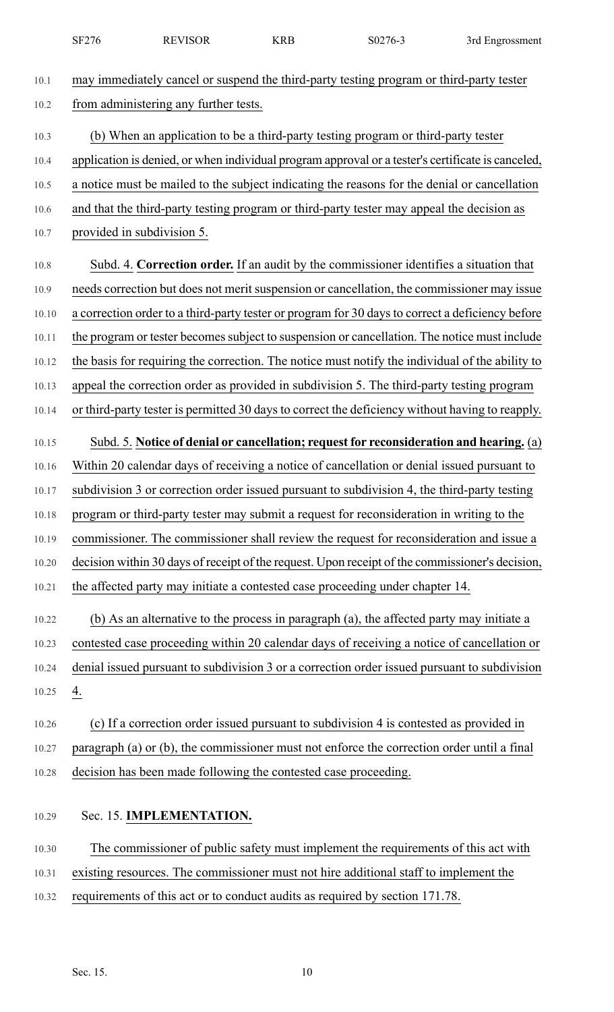|       | SF276 | <b>REVISOR</b>                                                  | <b>KRB</b> | S0276-3                                                                                           | 3rd Engrossment |
|-------|-------|-----------------------------------------------------------------|------------|---------------------------------------------------------------------------------------------------|-----------------|
| 10.1  |       |                                                                 |            | may immediately cancel or suspend the third-party testing program or third-party tester           |                 |
| 10.2  |       | from administering any further tests.                           |            |                                                                                                   |                 |
| 10.3  |       |                                                                 |            | (b) When an application to be a third-party testing program or third-party tester                 |                 |
| 10.4  |       |                                                                 |            | application is denied, or when individual program approval or a tester's certificate is canceled, |                 |
| 10.5  |       |                                                                 |            | a notice must be mailed to the subject indicating the reasons for the denial or cancellation      |                 |
| 10.6  |       |                                                                 |            | and that the third-party testing program or third-party tester may appeal the decision as         |                 |
| 10.7  |       | provided in subdivision 5.                                      |            |                                                                                                   |                 |
| 10.8  |       |                                                                 |            | Subd. 4. Correction order. If an audit by the commissioner identifies a situation that            |                 |
| 10.9  |       |                                                                 |            | needs correction but does not merit suspension or cancellation, the commissioner may issue        |                 |
| 10.10 |       |                                                                 |            | a correction order to a third-party tester or program for 30 days to correct a deficiency before  |                 |
| 10.11 |       |                                                                 |            | the program or tester becomes subject to suspension or cancellation. The notice must include      |                 |
| 10.12 |       |                                                                 |            | the basis for requiring the correction. The notice must notify the individual of the ability to   |                 |
| 10.13 |       |                                                                 |            | appeal the correction order as provided in subdivision 5. The third-party testing program         |                 |
| 10.14 |       |                                                                 |            | or third-party tester is permitted 30 days to correct the deficiency without having to reapply.   |                 |
| 10.15 |       |                                                                 |            | Subd. 5. Notice of denial or cancellation; request for reconsideration and hearing. (a)           |                 |
| 10.16 |       |                                                                 |            | Within 20 calendar days of receiving a notice of cancellation or denial issued pursuant to        |                 |
| 10.17 |       |                                                                 |            | subdivision 3 or correction order issued pursuant to subdivision 4, the third-party testing       |                 |
| 10.18 |       |                                                                 |            | program or third-party tester may submit a request for reconsideration in writing to the          |                 |
| 10.19 |       |                                                                 |            | commissioner. The commissioner shall review the request for reconsideration and issue a           |                 |
| 10.20 |       |                                                                 |            | decision within 30 days of receipt of the request. Upon receipt of the commissioner's decision,   |                 |
| 10.21 |       |                                                                 |            | the affected party may initiate a contested case proceeding under chapter 14.                     |                 |
| 10.22 |       |                                                                 |            | (b) As an alternative to the process in paragraph (a), the affected party may initiate a          |                 |
| 10.23 |       |                                                                 |            | contested case proceeding within 20 calendar days of receiving a notice of cancellation or        |                 |
| 10.24 |       |                                                                 |            | denial issued pursuant to subdivision 3 or a correction order issued pursuant to subdivision      |                 |
| 10.25 | 4.    |                                                                 |            |                                                                                                   |                 |
| 10.26 |       |                                                                 |            | (c) If a correction order issued pursuant to subdivision 4 is contested as provided in            |                 |
| 10.27 |       |                                                                 |            | paragraph (a) or (b), the commissioner must not enforce the correction order until a final        |                 |
| 10.28 |       | decision has been made following the contested case proceeding. |            |                                                                                                   |                 |
| 10.29 |       | Sec. 15. IMPLEMENTATION.                                        |            |                                                                                                   |                 |
| 10.30 |       |                                                                 |            | The commissioner of public safety must implement the requirements of this act with                |                 |
| 10.31 |       |                                                                 |            | existing resources. The commissioner must not hire additional staff to implement the              |                 |
| 10.32 |       |                                                                 |            | requirements of this act or to conduct audits as required by section 171.78.                      |                 |
|       |       |                                                                 |            |                                                                                                   |                 |